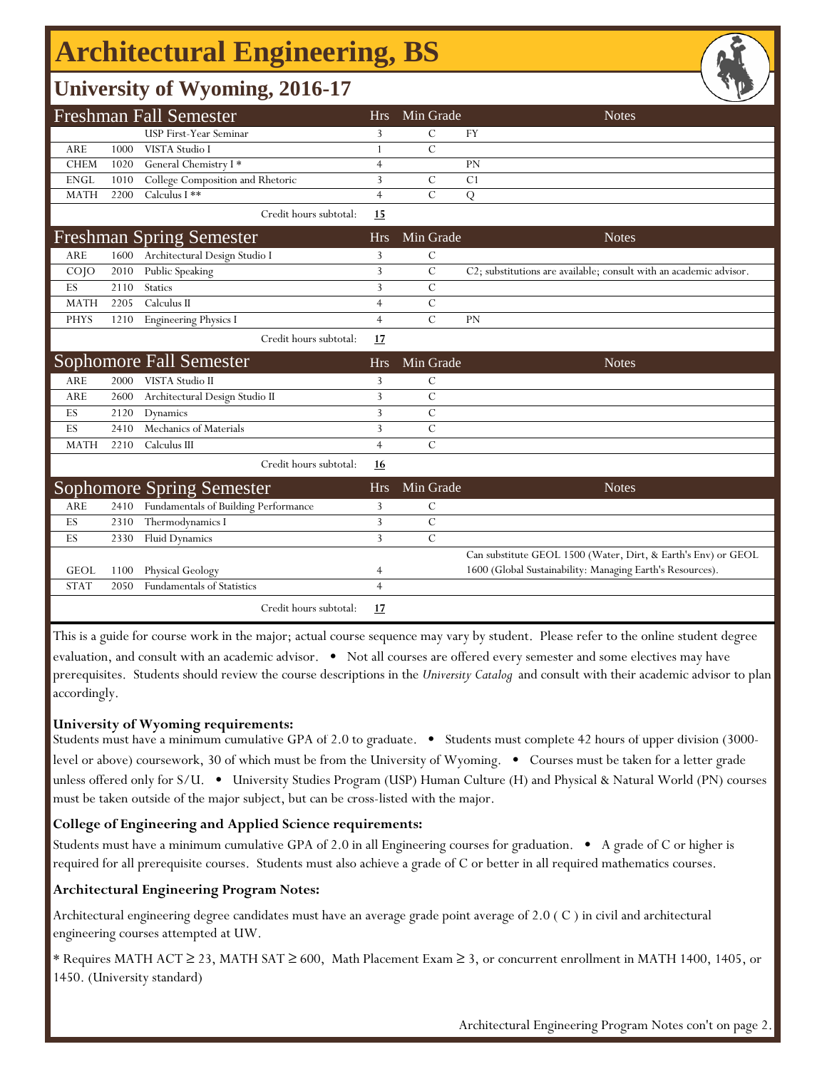# **Architectural Engineering, BS**

## **University of Wyoming, 2016-17**

|                                |      | <b>Freshman Fall Semester</b>        | <b>Hrs</b>     | Min Grade      | <b>Notes</b>                                                       |
|--------------------------------|------|--------------------------------------|----------------|----------------|--------------------------------------------------------------------|
|                                |      | USP First-Year Seminar               | 3              | C              | <b>FY</b>                                                          |
| <b>ARE</b>                     | 1000 | VISTA Studio I                       | 1              | $\overline{C}$ |                                                                    |
| <b>CHEM</b>                    | 1020 | General Chemistry I*                 | 4              |                | PN                                                                 |
| <b>ENGL</b>                    | 1010 | College Composition and Rhetoric     | 3              | $\mathcal{C}$  | C <sub>1</sub>                                                     |
| <b>MATH</b>                    | 2200 | Calculus I **                        | $\overline{4}$ | $\overline{C}$ | Q                                                                  |
|                                |      | Credit hours subtotal:               | 15             |                |                                                                    |
|                                |      | <b>Freshman Spring Semester</b>      | <b>Hrs</b>     | Min Grade      | <b>Notes</b>                                                       |
| ARE                            | 1600 | Architectural Design Studio I        | 3              | $\mathcal{C}$  |                                                                    |
| COJO                           | 2010 | Public Speaking                      | 3              | $\mathcal{C}$  | C2; substitutions are available; consult with an academic advisor. |
| ES                             | 2110 | <b>Statics</b>                       | 3              | $\mathcal{C}$  |                                                                    |
| <b>MATH</b>                    | 2205 | Calculus II                          | $\overline{4}$ | $\mathcal{C}$  |                                                                    |
| <b>PHYS</b>                    | 1210 | <b>Engineering Physics I</b>         | $\overline{4}$ | $\overline{C}$ | <b>PN</b>                                                          |
|                                |      | Credit hours subtotal:               | 17             |                |                                                                    |
| <b>Sophomore Fall Semester</b> |      |                                      | <b>Hrs</b>     | Min Grade      | <b>Notes</b>                                                       |
| <b>ARE</b>                     | 2000 | VISTA Studio II                      | 3              | C              |                                                                    |
| <b>ARE</b>                     | 2600 | Architectural Design Studio II       | 3              | $\overline{C}$ |                                                                    |
| ES                             | 2120 | Dynamics                             | 3              | $\mathcal{C}$  |                                                                    |
| ES                             | 2410 | Mechanics of Materials               | 3              | $\mathcal{C}$  |                                                                    |
| <b>MATH</b>                    | 2210 | Calculus III                         | $\overline{4}$ | $\overline{C}$ |                                                                    |
|                                |      | Credit hours subtotal:               | 16             |                |                                                                    |
|                                |      | <b>Sophomore Spring Semester</b>     | <b>Hrs</b>     | Min Grade      | <b>Notes</b>                                                       |
| <b>ARE</b>                     | 2410 | Fundamentals of Building Performance | 3              | $\mathcal{C}$  |                                                                    |
| ES                             | 2310 | Thermodynamics I                     | 3              | $\mathcal{C}$  |                                                                    |
| ES                             | 2330 | <b>Fluid Dynamics</b>                | 3              | $\mathcal{C}$  |                                                                    |
|                                |      |                                      |                |                | Can substitute GEOL 1500 (Water, Dirt, & Earth's Env) or GEOL      |
| <b>GEOL</b>                    | 1100 | Physical Geology                     | 4              |                | 1600 (Global Sustainability: Managing Earth's Resources).          |
| <b>STAT</b>                    | 2050 | Fundamentals of Statistics           | $\overline{4}$ |                |                                                                    |
|                                |      | Credit hours subtotal:               | 17             |                |                                                                    |

This is a guide for course work in the major; actual course sequence may vary by student. Please refer to the online student degree evaluation, and consult with an academic advisor. • Not all courses are offered every semester and some electives may have prerequisites. Students should review the course descriptions in the *University Catalog* and consult with their academic advisor to plan accordingly.

#### **University of Wyoming requirements:**

Students must have a minimum cumulative GPA of 2.0 to graduate. • Students must complete 42 hours of upper division (3000 level or above) coursework, 30 of which must be from the University of Wyoming. • Courses must be taken for a letter grade unless offered only for S/U. • University Studies Program (USP) Human Culture (H) and Physical & Natural World (PN) courses must be taken outside of the major subject, but can be cross-listed with the major.

### **College of Engineering and Applied Science requirements:**

Students must have a minimum cumulative GPA of 2.0 in all Engineering courses for graduation. • A grade of C or higher is required for all prerequisite courses. Students must also achieve a grade of C or better in all required mathematics courses.

### **Architectural Engineering Program Notes:**

Architectural engineering degree candidates must have an average grade point average of 2.0 ( C ) in civil and architectural engineering courses attempted at UW.

\* Requires MATH ACT ≥ 23, MATH SAT ≥ 600, Math Placement Exam ≥ 3, or concurrent enrollment in MATH 1400, 1405, or 1450. (University standard)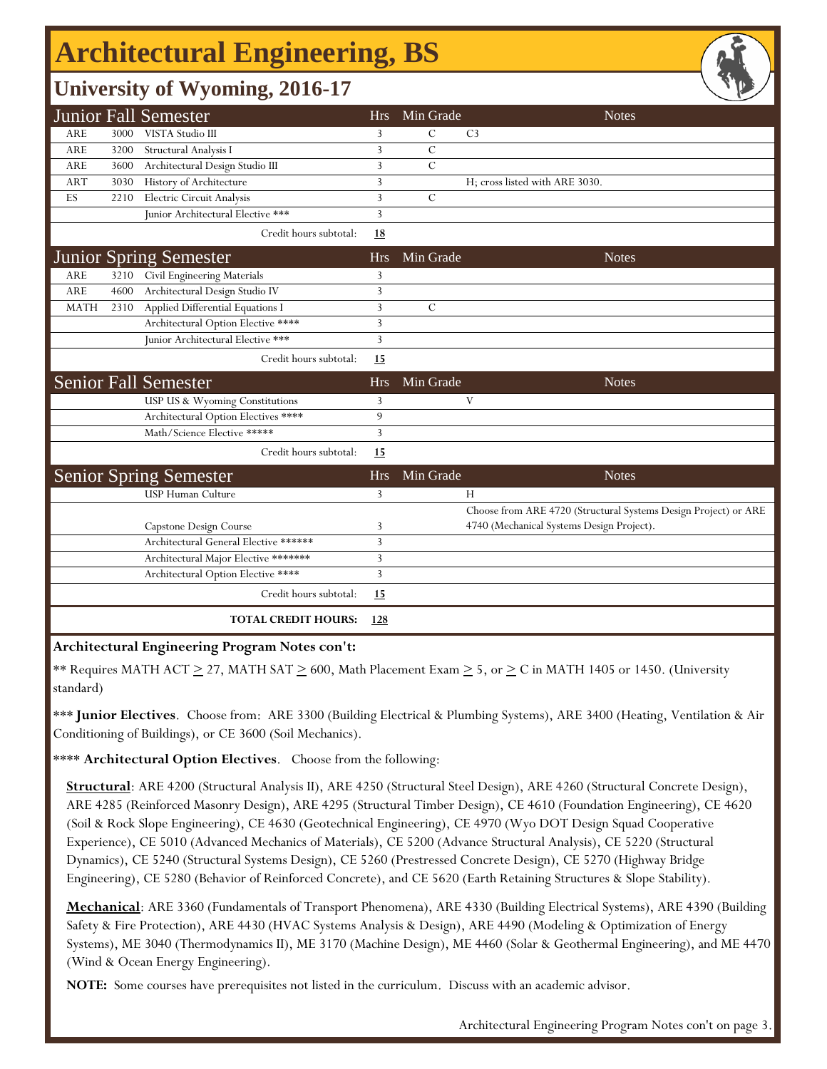## **Architectural Engineering, BS**

## **University of Wyoming, 2016-17**

|             |      | <b>Junior Fall Semester</b>           | <b>Hrs</b> | Min Grade      |                                           | <b>Notes</b>                                                    |
|-------------|------|---------------------------------------|------------|----------------|-------------------------------------------|-----------------------------------------------------------------|
| <b>ARE</b>  | 3000 | VISTA Studio III                      | 3          | $\mathcal{C}$  | C <sub>3</sub>                            |                                                                 |
| <b>ARE</b>  | 3200 | Structural Analysis I                 | 3          | $\mathcal{C}$  |                                           |                                                                 |
| ARE         | 3600 | Architectural Design Studio III       | 3          | $\overline{C}$ |                                           |                                                                 |
| <b>ART</b>  | 3030 | History of Architecture               | 3          |                | H; cross listed with ARE 3030.            |                                                                 |
| ES          | 2210 | Electric Circuit Analysis             | 3          | $\mathcal{C}$  |                                           |                                                                 |
|             |      | Junior Architectural Elective ***     | 3          |                |                                           |                                                                 |
|             |      | Credit hours subtotal:                | <u>18</u>  |                |                                           |                                                                 |
|             |      | <b>Junior Spring Semester</b>         | <b>Hrs</b> | Min Grade      |                                           | <b>Notes</b>                                                    |
| <b>ARE</b>  | 3210 | Civil Engineering Materials           | 3          |                |                                           |                                                                 |
| <b>ARE</b>  | 4600 | Architectural Design Studio IV        | 3          |                |                                           |                                                                 |
| <b>MATH</b> | 2310 | Applied Differential Equations I      | 3          | $\mathcal{C}$  |                                           |                                                                 |
|             |      | Architectural Option Elective ****    | 3          |                |                                           |                                                                 |
|             |      | Junior Architectural Elective ***     | 3          |                |                                           |                                                                 |
|             |      | Credit hours subtotal:                | 15         |                |                                           |                                                                 |
|             |      | <b>Senior Fall Semester</b>           | <b>Hrs</b> | Min Grade      |                                           | <b>Notes</b>                                                    |
|             |      | USP US & Wyoming Constitutions        | 3          |                | V                                         |                                                                 |
|             |      | Architectural Option Electives ****   | 9          |                |                                           |                                                                 |
|             |      | Math/Science Elective *****           | 3          |                |                                           |                                                                 |
|             |      | Credit hours subtotal:                | 15         |                |                                           |                                                                 |
|             |      | <b>Senior Spring Semester</b>         | <b>Hrs</b> | Min Grade      |                                           | <b>Notes</b>                                                    |
|             |      | <b>USP Human Culture</b>              | 3          |                | Н                                         |                                                                 |
|             |      |                                       |            |                |                                           | Choose from ARE 4720 (Structural Systems Design Project) or ARE |
|             |      | Capstone Design Course                | 3          |                | 4740 (Mechanical Systems Design Project). |                                                                 |
|             |      | Architectural General Elective ****** | 3          |                |                                           |                                                                 |
|             |      | Architectural Major Elective *******  | 3          |                |                                           |                                                                 |
|             |      | Architectural Option Elective ****    | 3          |                |                                           |                                                                 |
|             |      | Credit hours subtotal:                | 15         |                |                                           |                                                                 |
|             |      | <b>TOTAL CREDIT HOURS:</b>            | 128        |                |                                           |                                                                 |

### **Architectural Engineering Program Notes con't:**

\*\* Requires MATH ACT  $\geq$  27, MATH SAT  $\geq$  600, Math Placement Exam  $\geq$  5, or  $\geq$  C in MATH 1405 or 1450. (University standard)

\*\*\* **Junior Electives**. Choose from: ARE 3300 (Building Electrical & Plumbing Systems), ARE 3400 (Heating, Ventilation & Air Conditioning of Buildings), or CE 3600 (Soil Mechanics).

\*\*\*\* **Architectural Option Electives**. Choose from the following:

**Structural**: ARE 4200 (Structural Analysis II), ARE 4250 (Structural Steel Design), ARE 4260 (Structural Concrete Design), ARE 4285 (Reinforced Masonry Design), ARE 4295 (Structural Timber Design), CE 4610 (Foundation Engineering), CE 4620 (Soil & Rock Slope Engineering), CE 4630 (Geotechnical Engineering), CE 4970 (Wyo DOT Design Squad Cooperative Experience), CE 5010 (Advanced Mechanics of Materials), CE 5200 (Advance Structural Analysis), CE 5220 (Structural Dynamics), CE 5240 (Structural Systems Design), CE 5260 (Prestressed Concrete Design), CE 5270 (Highway Bridge Engineering), CE 5280 (Behavior of Reinforced Concrete), and CE 5620 (Earth Retaining Structures & Slope Stability).

**Mechanical**: ARE 3360 (Fundamentals of Transport Phenomena), ARE 4330 (Building Electrical Systems), ARE 4390 (Building Safety & Fire Protection), ARE 4430 (HVAC Systems Analysis & Design), ARE 4490 (Modeling & Optimization of Energy Systems), ME 3040 (Thermodynamics II), ME 3170 (Machine Design), ME 4460 (Solar & Geothermal Engineering), and ME 4470 (Wind & Ocean Energy Engineering).

**NOTE:** Some courses have prerequisites not listed in the curriculum. Discuss with an academic advisor.

Architectural Engineering Program Notes con't on page 3.